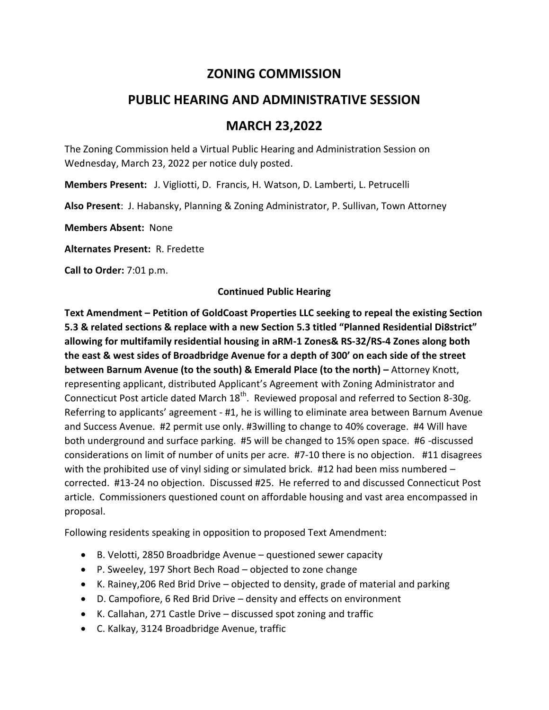# **ZONING COMMISSION**

# **PUBLIC HEARING AND ADMINISTRATIVE SESSION**

## **MARCH 23,2022**

The Zoning Commission held a Virtual Public Hearing and Administration Session on Wednesday, March 23, 2022 per notice duly posted.

**Members Present:** J. Vigliotti, D. Francis, H. Watson, D. Lamberti, L. Petrucelli

**Also Present**: J. Habansky, Planning & Zoning Administrator, P. Sullivan, Town Attorney

**Members Absent:** None

**Alternates Present:** R. Fredette

**Call to Order:** 7:01 p.m.

## **Continued Public Hearing**

**Text Amendment – Petition of GoldCoast Properties LLC seeking to repeal the existing Section 5.3 & related sections & replace with a new Section 5.3 titled "Planned Residential Di8strict" allowing for multifamily residential housing in aRM-1 Zones& RS-32/RS-4 Zones along both the east & west sides of Broadbridge Avenue for a depth of 300' on each side of the street between Barnum Avenue (to the south) & Emerald Place (to the north) –** Attorney Knott, representing applicant, distributed Applicant's Agreement with Zoning Administrator and Connecticut Post article dated March 18<sup>th</sup>. Reviewed proposal and referred to Section 8-30g. Referring to applicants' agreement - #1, he is willing to eliminate area between Barnum Avenue and Success Avenue. #2 permit use only. #3willing to change to 40% coverage. #4 Will have both underground and surface parking. #5 will be changed to 15% open space. #6 -discussed considerations on limit of number of units per acre. #7-10 there is no objection. #11 disagrees with the prohibited use of vinyl siding or simulated brick. #12 had been miss numbered corrected. #13-24 no objection. Discussed #25. He referred to and discussed Connecticut Post article. Commissioners questioned count on affordable housing and vast area encompassed in proposal.

Following residents speaking in opposition to proposed Text Amendment:

- B. Velotti, 2850 Broadbridge Avenue questioned sewer capacity
- P. Sweeley, 197 Short Bech Road objected to zone change
- K. Rainey,206 Red Brid Drive objected to density, grade of material and parking
- D. Campofiore, 6 Red Brid Drive density and effects on environment
- K. Callahan, 271 Castle Drive discussed spot zoning and traffic
- C. Kalkay, 3124 Broadbridge Avenue, traffic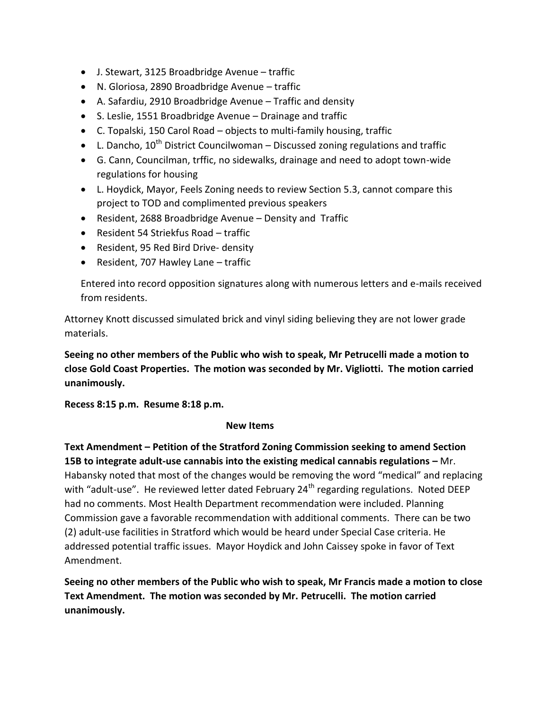- J. Stewart, 3125 Broadbridge Avenue traffic
- N. Gloriosa, 2890 Broadbridge Avenue traffic
- A. Safardiu, 2910 Broadbridge Avenue Traffic and density
- S. Leslie, 1551 Broadbridge Avenue Drainage and traffic
- C. Topalski, 150 Carol Road objects to multi-family housing, traffic
- **•** L. Dancho,  $10^{th}$  District Councilwoman Discussed zoning regulations and traffic
- G. Cann, Councilman, trffic, no sidewalks, drainage and need to adopt town-wide regulations for housing
- L. Hoydick, Mayor, Feels Zoning needs to review Section 5.3, cannot compare this project to TOD and complimented previous speakers
- Resident, 2688 Broadbridge Avenue Density and Traffic
- Resident 54 Striekfus Road traffic
- Resident, 95 Red Bird Drive- density
- Resident, 707 Hawley Lane traffic

Entered into record opposition signatures along with numerous letters and e-mails received from residents.

Attorney Knott discussed simulated brick and vinyl siding believing they are not lower grade materials.

**Seeing no other members of the Public who wish to speak, Mr Petrucelli made a motion to close Gold Coast Properties. The motion was seconded by Mr. Vigliotti. The motion carried unanimously.**

**Recess 8:15 p.m. Resume 8:18 p.m.**

## **New Items**

**Text Amendment – Petition of the Stratford Zoning Commission seeking to amend Section 15B to integrate adult-use cannabis into the existing medical cannabis regulations –** Mr. Habansky noted that most of the changes would be removing the word "medical" and replacing with "adult-use". He reviewed letter dated February 24<sup>th</sup> regarding regulations. Noted DEEP had no comments. Most Health Department recommendation were included. Planning Commission gave a favorable recommendation with additional comments. There can be two (2) adult-use facilities in Stratford which would be heard under Special Case criteria. He addressed potential traffic issues. Mayor Hoydick and John Caissey spoke in favor of Text Amendment.

**Seeing no other members of the Public who wish to speak, Mr Francis made a motion to close Text Amendment. The motion was seconded by Mr. Petrucelli. The motion carried unanimously.**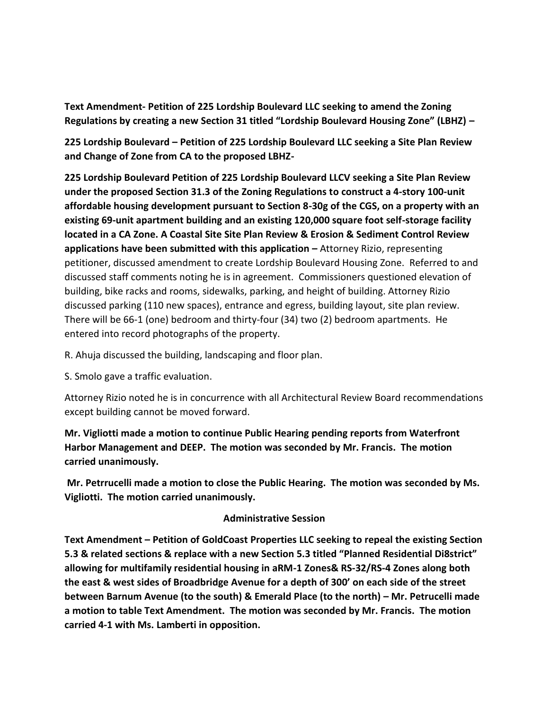**Text Amendment- Petition of 225 Lordship Boulevard LLC seeking to amend the Zoning Regulations by creating a new Section 31 titled "Lordship Boulevard Housing Zone" (LBHZ) –**

**225 Lordship Boulevard – Petition of 225 Lordship Boulevard LLC seeking a Site Plan Review and Change of Zone from CA to the proposed LBHZ-**

**225 Lordship Boulevard Petition of 225 Lordship Boulevard LLCV seeking a Site Plan Review under the proposed Section 31.3 of the Zoning Regulations to construct a 4-story 100-unit affordable housing development pursuant to Section 8-30g of the CGS, on a property with an existing 69-unit apartment building and an existing 120,000 square foot self-storage facility located in a CA Zone. A Coastal Site Site Plan Review & Erosion & Sediment Control Review applications have been submitted with this application –** Attorney Rizio, representing petitioner, discussed amendment to create Lordship Boulevard Housing Zone. Referred to and discussed staff comments noting he is in agreement. Commissioners questioned elevation of building, bike racks and rooms, sidewalks, parking, and height of building. Attorney Rizio discussed parking (110 new spaces), entrance and egress, building layout, site plan review. There will be 66-1 (one) bedroom and thirty-four (34) two (2) bedroom apartments. He entered into record photographs of the property.

R. Ahuja discussed the building, landscaping and floor plan.

S. Smolo gave a traffic evaluation.

Attorney Rizio noted he is in concurrence with all Architectural Review Board recommendations except building cannot be moved forward.

**Mr. Vigliotti made a motion to continue Public Hearing pending reports from Waterfront Harbor Management and DEEP. The motion was seconded by Mr. Francis. The motion carried unanimously.**

**Mr. Petrrucelli made a motion to close the Public Hearing. The motion was seconded by Ms. Vigliotti. The motion carried unanimously.** 

## **Administrative Session**

**Text Amendment – Petition of GoldCoast Properties LLC seeking to repeal the existing Section 5.3 & related sections & replace with a new Section 5.3 titled "Planned Residential Di8strict" allowing for multifamily residential housing in aRM-1 Zones& RS-32/RS-4 Zones along both the east & west sides of Broadbridge Avenue for a depth of 300' on each side of the street between Barnum Avenue (to the south) & Emerald Place (to the north) – Mr. Petrucelli made a motion to table Text Amendment. The motion was seconded by Mr. Francis. The motion carried 4-1 with Ms. Lamberti in opposition.**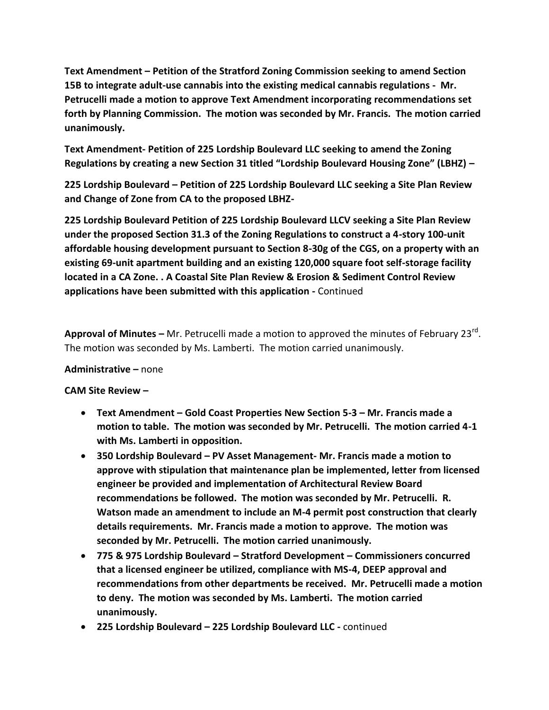**Text Amendment – Petition of the Stratford Zoning Commission seeking to amend Section 15B to integrate adult-use cannabis into the existing medical cannabis regulations - Mr. Petrucelli made a motion to approve Text Amendment incorporating recommendations set forth by Planning Commission. The motion was seconded by Mr. Francis. The motion carried unanimously.**

**Text Amendment- Petition of 225 Lordship Boulevard LLC seeking to amend the Zoning Regulations by creating a new Section 31 titled "Lordship Boulevard Housing Zone" (LBHZ) –**

**225 Lordship Boulevard – Petition of 225 Lordship Boulevard LLC seeking a Site Plan Review and Change of Zone from CA to the proposed LBHZ-**

**225 Lordship Boulevard Petition of 225 Lordship Boulevard LLCV seeking a Site Plan Review under the proposed Section 31.3 of the Zoning Regulations to construct a 4-story 100-unit affordable housing development pursuant to Section 8-30g of the CGS, on a property with an existing 69-unit apartment building and an existing 120,000 square foot self-storage facility located in a CA Zone. . A Coastal Site Plan Review & Erosion & Sediment Control Review applications have been submitted with this application -** Continued

**Approval of Minutes –** Mr. Petrucelli made a motion to approved the minutes of February 23<sup>rd</sup>. The motion was seconded by Ms. Lamberti. The motion carried unanimously.

## **Administrative –** none

## **CAM Site Review –**

- **Text Amendment – Gold Coast Properties New Section 5-3 – Mr. Francis made a motion to table. The motion was seconded by Mr. Petrucelli. The motion carried 4-1 with Ms. Lamberti in opposition.**
- **350 Lordship Boulevard – PV Asset Management- Mr. Francis made a motion to approve with stipulation that maintenance plan be implemented, letter from licensed engineer be provided and implementation of Architectural Review Board recommendations be followed. The motion was seconded by Mr. Petrucelli. R. Watson made an amendment to include an M-4 permit post construction that clearly details requirements. Mr. Francis made a motion to approve. The motion was seconded by Mr. Petrucelli. The motion carried unanimously.**
- **775 & 975 Lordship Boulevard – Stratford Development – Commissioners concurred that a licensed engineer be utilized, compliance with MS-4, DEEP approval and recommendations from other departments be received. Mr. Petrucelli made a motion to deny. The motion was seconded by Ms. Lamberti. The motion carried unanimously.**
- **225 Lordship Boulevard – 225 Lordship Boulevard LLC -** continued